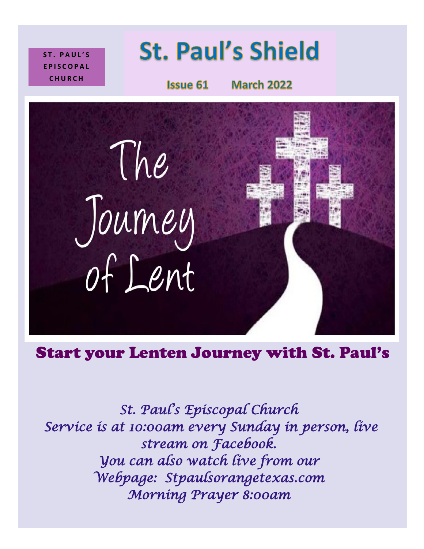**S T . P A U L ' S E P I S C O P A L C H U R C H**

# **St. Paul's Shield**

**Issue 61** 

**March 2022** 



# Start your Lenten Journey with St. Paul's

*St. Paul's Episcopal Church Service is at 10:00am every Sunday in person, live stream on Facebook. You can also watch live from our Webpage: Stpaulsorangetexas.com Morning Prayer 8:00am*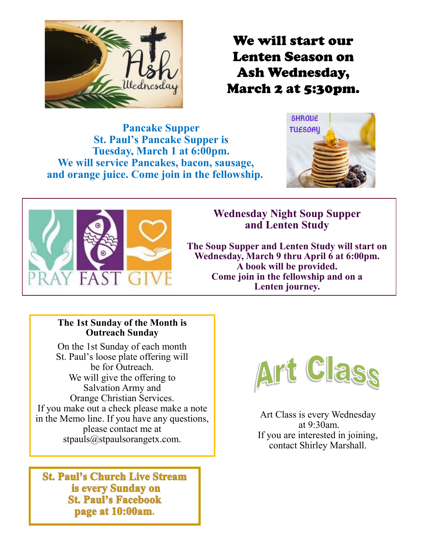

We will start our Lenten Season on Ash Wednesday, March 2 at 5:30pm.

**Pancake Supper St. Paul's Pancake Supper is Tuesday, March 1 at 6:00pm. We will service Pancakes, bacon, sausage, and orange juice. Come join in the fellowship.**





## **Wednesday Night Soup Supper and Lenten Study**

**The Soup Supper and Lenten Study will start on Wednesday, March 9 thru April 6 at 6:00pm. A book will be provided. Come join in the fellowship and on a Lenten journey.**

#### **The 1st Sunday of the Month is Outreach Sunday**

On the 1st Sunday of each month St. Paul's loose plate offering will be for Outreach. We will give the offering to Salvation Army and Orange Christian Services. If you make out a check please make a note in the Memo line. If you have any questions, please contact me at stpauls@stpaulsorangetx.com.

**St. Paul's Church Live Stream** is every Sunday on **St. Paul's Facebook** page at 10:00am.



Art Class is every Wednesday at 9:30am. If you are interested in joining, contact Shirley Marshall.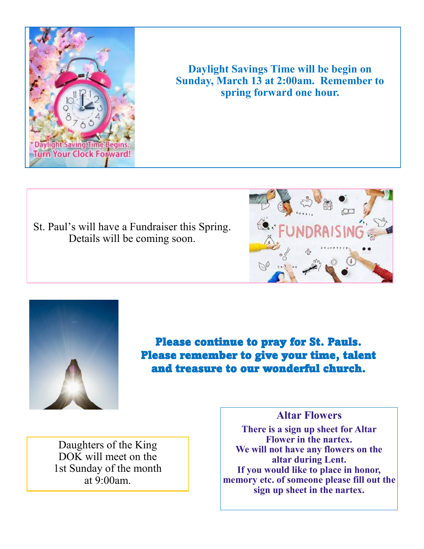

**Daylight Savings Time will be begin on Sunday, March 13 at 2:00am. Remember to spring forward one hour.**

St. Paul's will have a Fundraiser this Spring. Details will be coming soon.





Please continue to pray for St. Pauls. Please remember to give your time, talent and treasure to our wonderful church.

Daughters of the King DOK will meet on the 1st Sunday of the month at 9:00am.

**Altar Flowers**

**There is a sign up sheet for Altar Flower in the nartex. We will not have any flowers on the altar during Lent. If you would like to place in honor, memory etc. of someone please fill out the sign up sheet in the nartex.**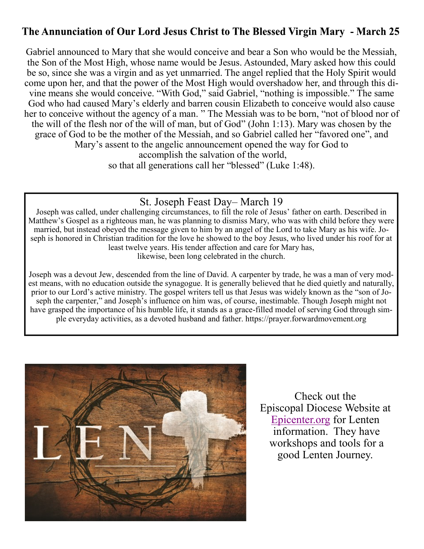## The Annunciation of Our Lord Jesus Christ to The Blessed Virgin Mary - March 25

Gabriel announced to Mary that she would conceive and bear a Son who would be the Messiah, the Son of the Most High, whose name would be Jesus. Astounded, Mary asked how this could be so, since she was a virgin and as yet unmarried. The angel replied that the Holy Spirit would come upon her, and that the power of the Most High would overshadow her, and through this divine means she would conceive. "With God," said Gabriel, "nothing is impossible." The same God who had caused Mary's elderly and barren cousin Elizabeth to conceive would also cause her to conceive without the agency of a man. " The Messiah was to be born, "not of blood nor of the will of the flesh nor of the will of man, but of God" (John 1:13). Mary was chosen by the grace of God to be the mother of the Messiah, and so Gabriel called her "favored one", and Mary's assent to the angelic announcement opened the way for God to accomplish the salvation of the world, so that all generations call her "blessed" (Luke 1:48).

#### St. Joseph Feast Day– March 19

Joseph was called, under challenging circumstances, to fill the role of Jesus' father on earth. Described in Matthew's Gospel as a righteous man, he was planning to dismiss Mary, who was with child before they were married, but instead obeyed the message given to him by an angel of the Lord to take Mary as his wife. Joseph is honored in Christian tradition for the love he showed to the boy Jesus, who lived under his roof for at least twelve years. His tender affection and care for Mary has, likewise, been long celebrated in the church.

Joseph was a devout Jew, descended from the line of David. A carpenter by trade, he was a man of very modest means, with no education outside the synagogue. It is generally believed that he died quietly and naturally, prior to our Lord's active ministry. The gospel writers tell us that Jesus was widely known as the "son of Joseph the carpenter," and Joseph's influence on him was, of course, inestimable. Though Joseph might not have grasped the importance of his humble life, it stands as a grace-filled model of serving God through simple everyday activities, as a devoted husband and father. https://prayer.forwardmovement.org



Check out the Episcopal Diocese Website at [Epicenter.org](https://www.epicenter.org/article/lenten-resources-2022/) for Lenten information. They have workshops and tools for a good Lenten Journey.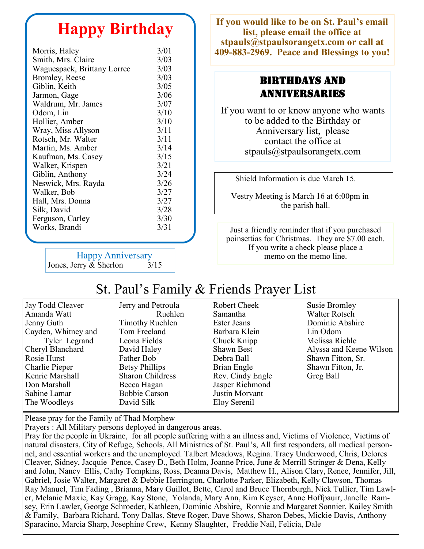## **Happy Birthday**

| Morris, Haley               | 3/01 |
|-----------------------------|------|
| Smith, Mrs. Claire          | 3/03 |
| Waguespack, Brittany Lorree | 3/03 |
| Bromley, Reese              | 3/03 |
| Giblin, Keith               | 3/05 |
| Jarmon, Gage                | 3/06 |
| Waldrum, Mr. James          | 3/07 |
| Odom, Lin                   | 3/10 |
| Hollier, Amber              | 3/10 |
| Wray, Miss Allyson          | 3/11 |
| Rotsch, Mr. Walter          | 3/11 |
| Martin, Ms. Amber           | 3/14 |
| Kaufman, Ms. Casey          | 3/15 |
| Walker, Krispen             | 3/21 |
| Giblin, Anthony             | 3/24 |
| Neswick, Mrs. Rayda         | 3/26 |
| Walker, Bob                 | 3/27 |
| Hall, Mrs. Donna            | 3/27 |
| Silk, David                 | 3/28 |
| Ferguson, Carley            | 3/30 |
| Works, Brandi               | 3/31 |
|                             |      |

 Happy Anniversary Jones, Jerry  $\&$  Sherlon  $3/15$ 

**If you would like to be on St. Paul's email list, please email the office at stpauls@stpaulsorangetx.com or call at 409-883-2969. Peace and Blessings to you!**

#### Birthdays and Anniversaries

If you want to or know anyone who wants to be added to the Birthday or Anniversary list, please contact the office at stpauls@stpaulsorangetx.com

Shield Information is due March 15.

 Vestry Meeting is March 16 at 6:00pm in the parish hall.

Just a friendly reminder that if you purchased poinsettias for Christmas. They are \$7.00 each. If you write a check please place a memo on the memo line.

## St. Paul's Family & Friends Prayer List

| Jay Todd Cleaver    | Jerry and Petroula      | <b>Robert Cheek</b> | <b>Susie Bromley</b>    |
|---------------------|-------------------------|---------------------|-------------------------|
| Amanda Watt         | Ruehlen                 | Samantha            | Walter Rotsch           |
| Jenny Guth          | Timothy Ruehlen         | Ester Jeans         | Dominic Abshire         |
| Cayden, Whitney and | Tom Freeland            | Barbara Klein       | Lin Odom                |
| Tyler Legrand       | Leona Fields            | Chuck Knipp         | Melissa Riehle          |
| Cheryl Blanchard    | David Haley             | Shawn Best          | Alyssa and Keene Wilson |
| Rosie Hurst         | Father Bob              | Debra Ball          | Shawn Fitton, Sr.       |
| Charlie Pieper      | <b>Betsy Phillips</b>   | Brian Engle         | Shawn Fitton, Jr.       |
| Kenric Marshall     | <b>Sharon Childress</b> | Rev. Cindy Engle    | Greg Ball               |
| Don Marshall        | Becca Hagan             | Jasper Richmond     |                         |
| Sabine Lamar        | <b>Bobbie Carson</b>    | Justin Morvant      |                         |
| The Woodleys        | David Silk              | Eloy Serenil        |                         |

Please pray for the Family of Thad Morphew

Prayers : All Military persons deployed in dangerous areas.

Pray for the people in Ukraine, for all people suffering with a an illness and, Victims of Violence, Victims of natural disasters, City of Refuge, Schools, All Ministries of St. Paul's, All first responders, all medical personnel, and essential workers and the unemployed. Talbert Meadows, Regina. Tracy Underwood, Chris, Delores Cleaver, Sidney, Jacquie Pence, Casey D., Beth Holm, Joanne Price, June & Merrill Stringer & Dena, Kelly and John, Nancy Ellis, Cathy Tompkins, Ross, Deanna Davis, Matthew H., Alison Clary, Renee, Jennifer, Jill, Gabriel, Josie Walter, Margaret & Debbie Herrington, Charlotte Parker, Elizabeth, Kelly Clawson, Thomas Ray Manuel, Tim Fading , Brianna, Mary Guillot, Bette, Carol and Bruce Thornburgh, Nick Tullier, Tim Lawler, Melanie Maxie, Kay Gragg, Kay Stone, Yolanda, Mary Ann, Kim Keyser, Anne Hoffpauir, Janelle Ramsey, Erin Lawler, George Schroeder, Kathleen, Dominic Abshire, Ronnie and Margaret Sonnier, Kailey Smith & Family, Barbara Richard, Tony Dallas, Steve Roger, Dave Shows, Sharon Debes, Mickie Davis, Anthony Sparacino, Marcia Sharp, Josephine Crew, Kenny Slaughter, Freddie Nail, Felicia, Dale